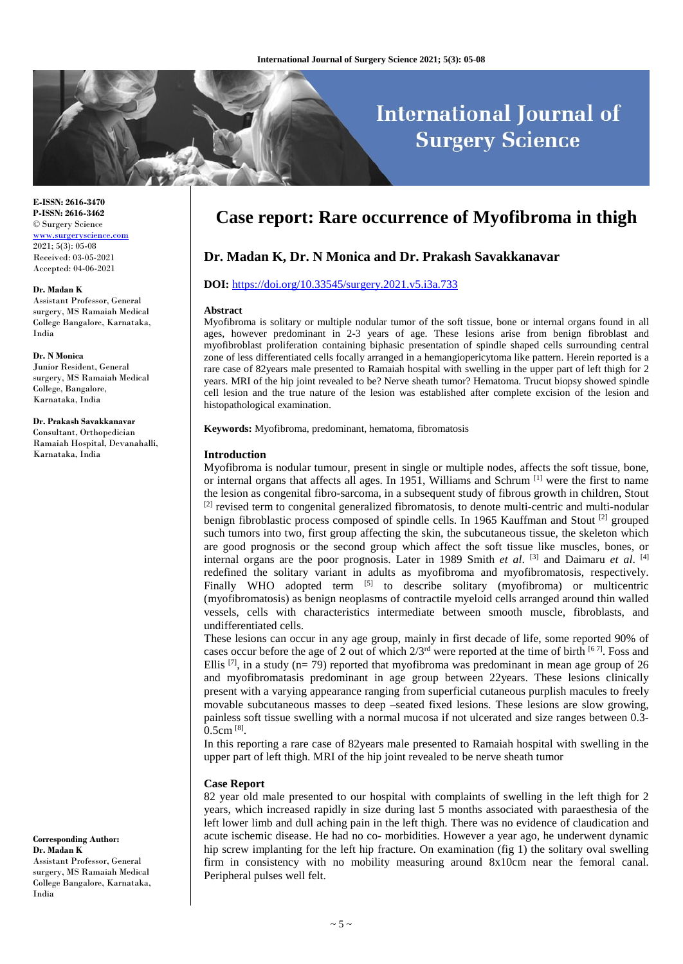# **International Journal of Surgery Science**

**E-ISSN: 2616-3470 P-ISSN: 2616-3462** © Surgery Science [www.surgeryscience.com](http://www.surgeryscience.com/)  $2021:5(3):05-08$ Received: 03-05-2021 Accepted: 04-06-2021

#### **Dr. Madan K**

Assistant Professor, General surgery, MS Ramaiah Medical College Bangalore, Karnataka, India

#### **Dr. N Monica**

Junior Resident, General surgery, MS Ramaiah Medical College, Bangalore, Karnataka, India

## **Dr. Prakash Savakkanavar**

Consultant, Orthopedician Ramaiah Hospital, Devanahalli, Karnataka, India

**Corresponding Author: Dr. Madan K** Assistant Professor, General surgery, MS Ramaiah Medical College Bangalore, Karnataka, India

## **Case report: Rare occurrence of Myofibroma in thigh**

## **Dr. Madan K, Dr. N Monica and Dr. Prakash Savakkanavar**

## **DOI:** <https://doi.org/10.33545/surgery.2021.v5.i3a.733>

#### **Abstract**

Myofibroma is solitary or multiple nodular tumor of the soft tissue, bone or internal organs found in all ages, however predominant in 2-3 years of age. These lesions arise from benign fibroblast and myofibroblast proliferation containing biphasic presentation of spindle shaped cells surrounding central zone of less differentiated cells focally arranged in a hemangiopericytoma like pattern. Herein reported is a rare case of 82years male presented to Ramaiah hospital with swelling in the upper part of left thigh for 2 years. MRI of the hip joint revealed to be? Nerve sheath tumor? Hematoma. Trucut biopsy showed spindle cell lesion and the true nature of the lesion was established after complete excision of the lesion and histopathological examination.

**Keywords:** Myofibroma, predominant, hematoma, fibromatosis

#### **Introduction**

Myofibroma is nodular tumour, present in single or multiple nodes, affects the soft tissue, bone, or internal organs that affects all ages. In 1951, Williams and Schrum [1] were the first to name the lesion as congenital fibro-sarcoma, in a subsequent study of fibrous growth in children, Stout <sup>[2]</sup> revised term to congenital generalized fibromatosis, to denote multi-centric and multi-nodular benign fibroblastic process composed of spindle cells. In 1965 Kauffman and Stout  $^{[2]}$  grouped such tumors into two, first group affecting the skin, the subcutaneous tissue, the skeleton which are good prognosis or the second group which affect the soft tissue like muscles, bones, or internal organs are the poor prognosis. Later in 1989 Smith *et al*. [3] and Daimaru *et al*. [4] redefined the solitary variant in adults as myofibroma and myofibromatosis, respectively. Finally WHO adopted term <sup>[5]</sup> to describe solitary (myofibroma) or multicentric (myofibromatosis) as benign neoplasms of contractile myeloid cells arranged around thin walled vessels, cells with characteristics intermediate between smooth muscle, fibroblasts, and undifferentiated cells.

These lesions can occur in any age group, mainly in first decade of life, some reported 90% of cases occur before the age of 2 out of which  $2/3^{rd}$  were reported at the time of birth [67]. Foss and Ellis  $[7]$ , in a study (n= 79) reported that myofibroma was predominant in mean age group of 26 and myofibromatasis predominant in age group between 22years. These lesions clinically present with a varying appearance ranging from superficial cutaneous purplish macules to freely movable subcutaneous masses to deep –seated fixed lesions. These lesions are slow growing, painless soft tissue swelling with a normal mucosa if not ulcerated and size ranges between 0.3-  $0.5cm$  [8].

In this reporting a rare case of 82years male presented to Ramaiah hospital with swelling in the upper part of left thigh. MRI of the hip joint revealed to be nerve sheath tumor

#### **Case Report**

82 year old male presented to our hospital with complaints of swelling in the left thigh for 2 years, which increased rapidly in size during last 5 months associated with paraesthesia of the left lower limb and dull aching pain in the left thigh. There was no evidence of claudication and acute ischemic disease. He had no co- morbidities. However a year ago, he underwent dynamic hip screw implanting for the left hip fracture. On examination (fig 1) the solitary oval swelling firm in consistency with no mobility measuring around 8x10cm near the femoral canal. Peripheral pulses well felt.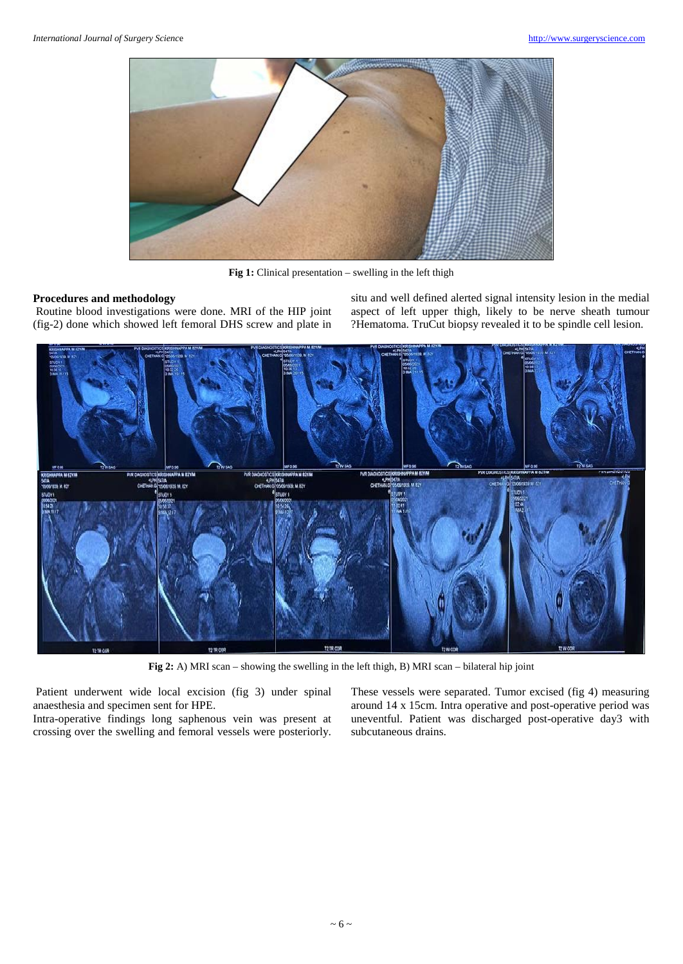

**Fig 1:** Clinical presentation – swelling in the left thigh

#### **Procedures and methodology**

Routine blood investigations were done. MRI of the HIP joint (fig-2) done which showed left femoral DHS screw and plate in situ and well defined alerted signal intensity lesion in the medial aspect of left upper thigh, likely to be nerve sheath tumour ?Hematoma. TruCut biopsy revealed it to be spindle cell lesion.



**Fig 2:** A) MRI scan – showing the swelling in the left thigh, B) MRI scan – bilateral hip joint

Patient underwent wide local excision (fig 3) under spinal anaesthesia and specimen sent for HPE.

Intra-operative findings long saphenous vein was present at crossing over the swelling and femoral vessels were posteriorly.

These vessels were separated. Tumor excised (fig 4) measuring around 14 x 15cm. Intra operative and post-operative period was uneventful. Patient was discharged post-operative day3 with subcutaneous drains.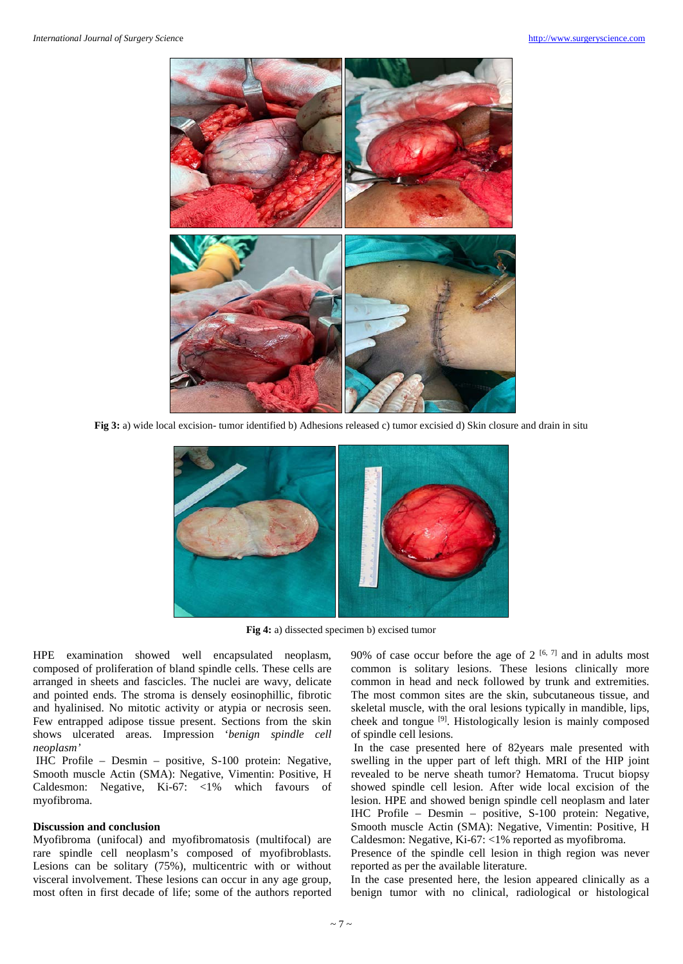

**Fig 3:** a) wide local excision- tumor identified b) Adhesions released c) tumor excisied d) Skin closure and drain in situ



**Fig 4:** a) dissected specimen b) excised tumor

HPE examination showed well encapsulated neoplasm, composed of proliferation of bland spindle cells. These cells are arranged in sheets and fascicles. The nuclei are wavy, delicate and pointed ends. The stroma is densely eosinophillic, fibrotic and hyalinised. No mitotic activity or atypia or necrosis seen. Few entrapped adipose tissue present. Sections from the skin shows ulcerated areas. Impression '*benign spindle cell neoplasm'*

IHC Profile – Desmin – positive, S-100 protein: Negative, Smooth muscle Actin (SMA): Negative, Vimentin: Positive, H Caldesmon: Negative, Ki-67: <1% which favours of myofibroma.

## **Discussion and conclusion**

Myofibroma (unifocal) and myofibromatosis (multifocal) are rare spindle cell neoplasm's composed of myofibroblasts. Lesions can be solitary (75%), multicentric with or without visceral involvement. These lesions can occur in any age group, most often in first decade of life; some of the authors reported

90% of case occur before the age of  $2^{[6, 7]}$  and in adults most common is solitary lesions. These lesions clinically more common in head and neck followed by trunk and extremities. The most common sites are the skin, subcutaneous tissue, and skeletal muscle, with the oral lesions typically in mandible, lips, cheek and tongue [9]. Histologically lesion is mainly composed of spindle cell lesions.

In the case presented here of 82years male presented with swelling in the upper part of left thigh. MRI of the HIP joint revealed to be nerve sheath tumor? Hematoma. Trucut biopsy showed spindle cell lesion. After wide local excision of the lesion. HPE and showed benign spindle cell neoplasm and later IHC Profile – Desmin – positive, S-100 protein: Negative, Smooth muscle Actin (SMA): Negative, Vimentin: Positive, H Caldesmon: Negative, Ki-67: <1% reported as myofibroma.

Presence of the spindle cell lesion in thigh region was never reported as per the available literature.

In the case presented here, the lesion appeared clinically as a benign tumor with no clinical, radiological or histological